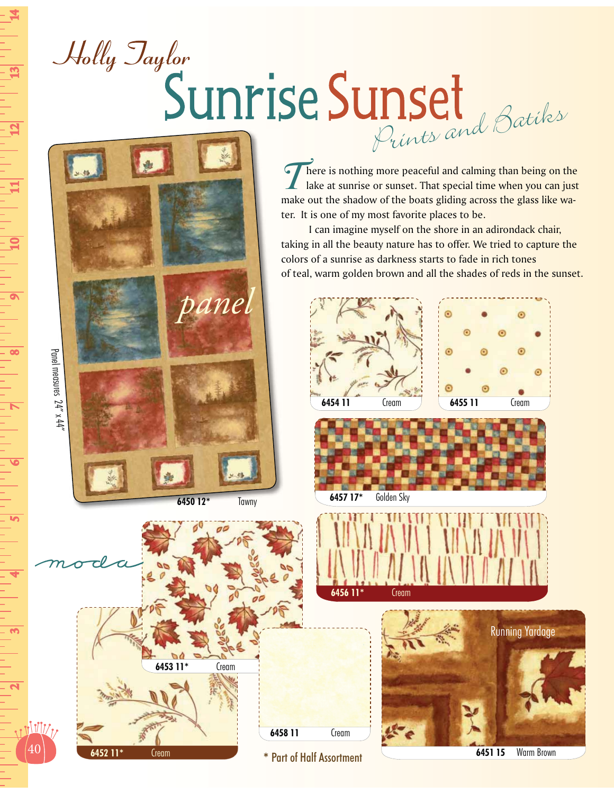## Holly Taylor Sunrise Sunset

**There is nothing more peaceful and calming than being on the**  $\frac{1}{2}$  lake at sunrise or sunset. That special time when you can just make out the shadow of the boats gliding across the glass like water. It is one of my most favorite places to be.

 I can imagine myself on the shore in an adirondack chair, taking in all the beauty nature has to offer. We tried to capture the colors of a sunrise as darkness starts to fade in rich tones of teal, warm golden brown and all the shades of reds in the sunset.











**6451 15** Warm Brown



*panel*

**\*** Part of Half Assortment

40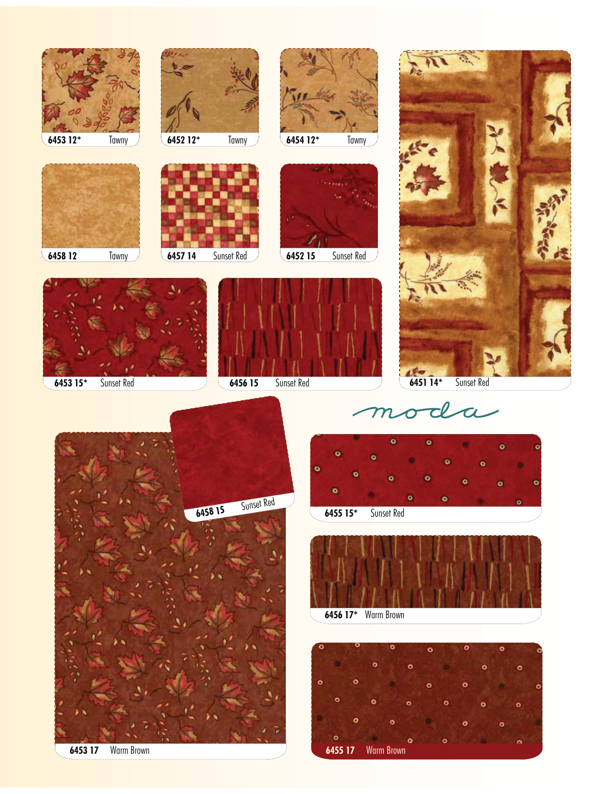











mod  $\overline{\boldsymbol{\alpha}}$ 











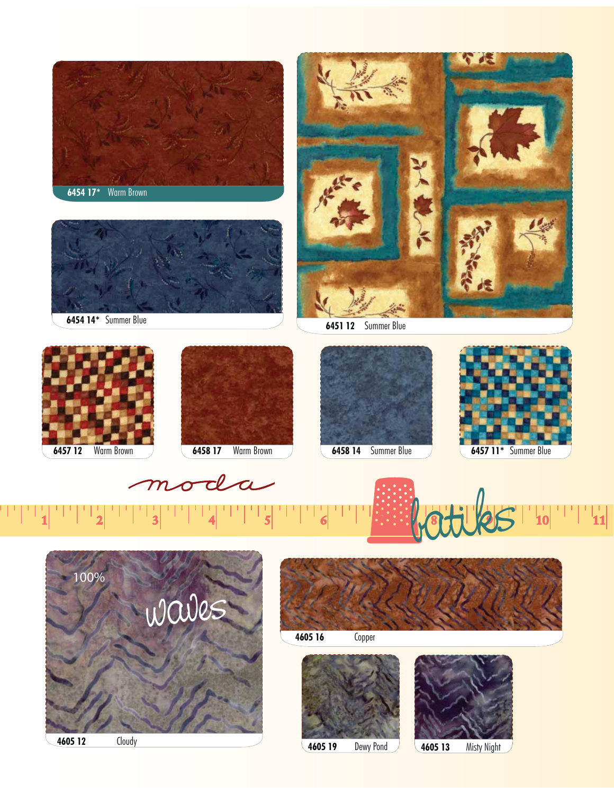

**4605 12** Cloudy

**4605 19** Dewy Pond **4605 13** Misty Night

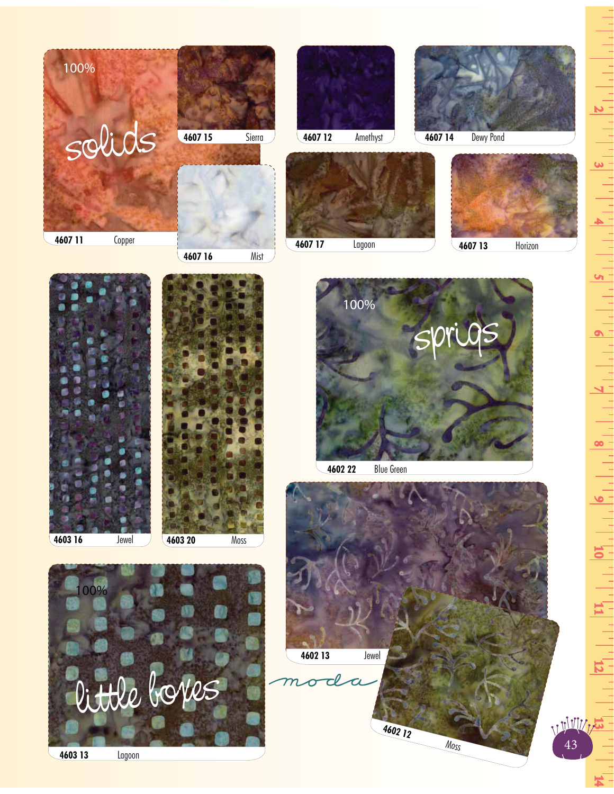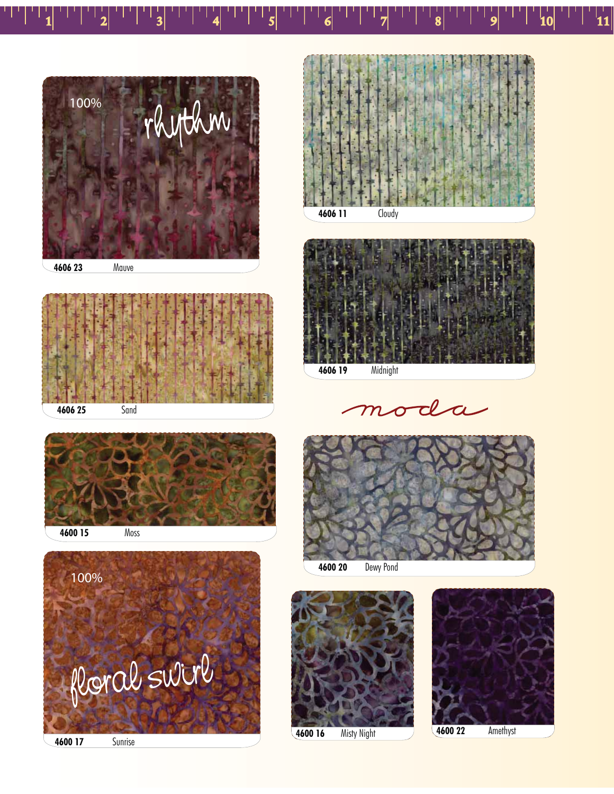





11



oda  ${\cal M}$